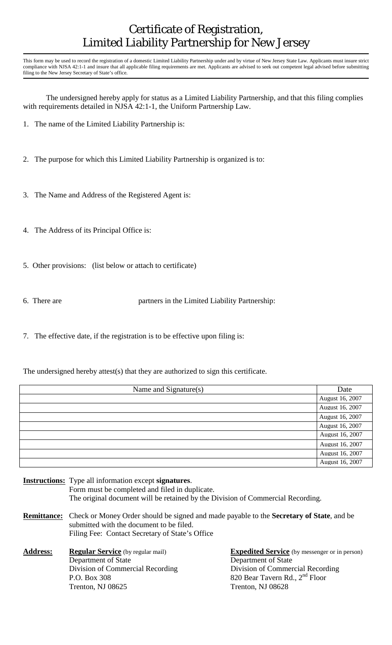## Certificate of Registration, Limited Liability Partnership for New Jersey

This form may be used to record the registration of a domestic Limited Liability Partnership under and by virtue of New Jersey State Law. Applicants must insure strict compliance with NJSA 42:1-1 and insure that all applicable filing requirements are met. Applicants are advised to seek out competent legal advised before submitting filing to the New Jersey Secretary of State's office.

 The undersigned hereby apply for status as a Limited Liability Partnership, and that this filing complies with requirements detailed in NJSA 42:1-1, the Uniform Partnership Law.

- 1. The name of the Limited Liability Partnership is:
- 2. The purpose for which this Limited Liability Partnership is organized is to:
- 3. The Name and Address of the Registered Agent is:
- 4. The Address of its Principal Office is:
- 5. Other provisions: (list below or attach to certificate)
- 

6. There are partners in the Limited Liability Partnership:

7. The effective date, if the registration is to be effective upon filing is:

The undersigned hereby attest(s) that they are authorized to sign this certificate.

| Name and Signature(s) | Date            |
|-----------------------|-----------------|
|                       | August 16, 2007 |
|                       | August 16, 2007 |
|                       | August 16, 2007 |
|                       | August 16, 2007 |
|                       | August 16, 2007 |
|                       | August 16, 2007 |
|                       | August 16, 2007 |
|                       | August 16, 2007 |

- **Instructions:** Type all information except **signatures**. Form must be completed and filed in duplicate. The original document will be retained by the Division of Commercial Recording.
- **Remittance:** Check or Money Order should be signed and made payable to the **Secretary of State**, and be submitted with the document to be filed. Filing Fee: Contact Secretary of State's Office
- Address: Regular Service (by regular mail) **Expedited Service** (by messenger or in person) Department of State Department of State P.O. Box 308 820 Bear Tavern Rd., 2<sup>nd</sup> Floor Trenton, NJ 08625 Trenton, NJ 08628

Division of Commercial Recording Division of Commercial Recording